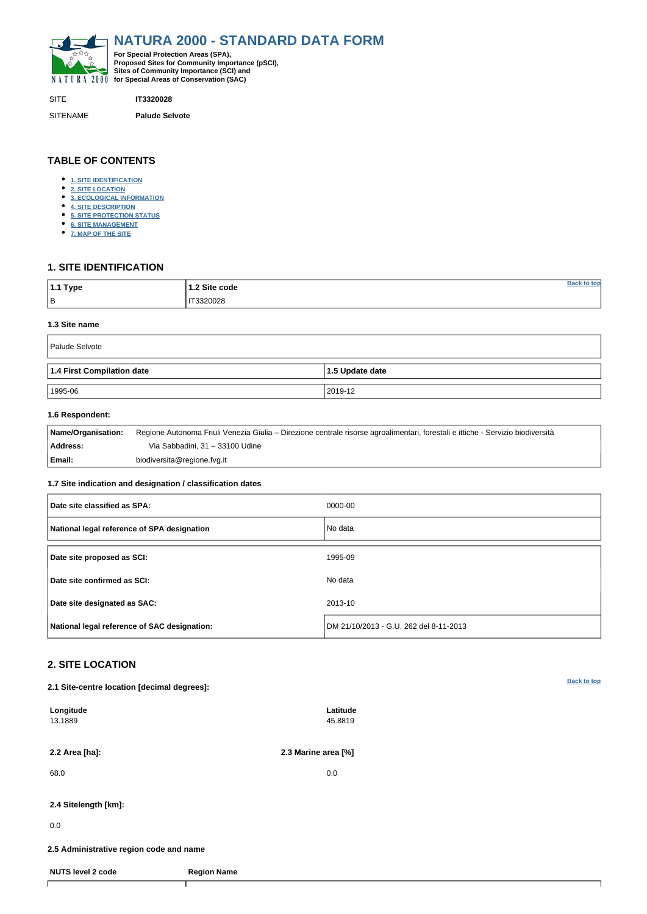<span id="page-0-0"></span>

SITE **IT3320028**

SITENAME **Palude Selvote**

| 1.1 Type  | 1.2 Site code | ton נ |
|-----------|---------------|-------|
| $\vert$ B | F3320028<br>. |       |

# **TABLE OF CONTENTS**

- **[1. SITE IDENTIFICATION](#page-0-1)**
- **[2. SITE LOCATION](#page-0-2)**
- **[3. ECOLOGICAL INFORMATION](#page-1-0)**
- **[4. SITE DESCRIPTION](#page-3-0)**
- **[5. SITE PROTECTION STATUS](#page-4-0)**
- **[6. SITE MANAGEMENT](#page-4-1)**
- **[7. MAP OF THE SITE](#page-4-2)**

# <span id="page-0-1"></span>**1. SITE IDENTIFICATION**

### **1.3 Site name**

| Palude Selvote             |                         |  |  |  |  |  |  |  |
|----------------------------|-------------------------|--|--|--|--|--|--|--|
| 1.4 First Compilation date | $\vert$ 1.5 Update date |  |  |  |  |  |  |  |
| 1995-06                    | 2019-12                 |  |  |  |  |  |  |  |

## **1.6 Respondent:**

| <b>Name/Organisation:</b> | Regione Autonoma Friuli Venezia Giulia – Direzione centrale risorse agroalimentari, forestali e ittiche - Servizio biodiversità |
|---------------------------|---------------------------------------------------------------------------------------------------------------------------------|
| Address:                  | Via Sabbadini, 31 - 33100 Udine                                                                                                 |
| Email:                    | biodiversita@regione.fvg.it                                                                                                     |

## **1.7 Site indication and designation / classification dates**

| Date site classified as SPA:                 | 0000-00                                |
|----------------------------------------------|----------------------------------------|
| National legal reference of SPA designation  | No data                                |
| Date site proposed as SCI:                   | 1995-09                                |
| Date site confirmed as SCI:                  | No data                                |
| Date site designated as SAC:                 | 2013-10                                |
| National legal reference of SAC designation: | DM 21/10/2013 - G.U. 262 del 8-11-2013 |

# <span id="page-0-2"></span>**2. SITE LOCATION**

**2.1 Site-centre location [decimal degrees]:**

| Longitude<br>13.1889                    |                    | Latitude<br>45.8819 |  |  |  |  |  |
|-----------------------------------------|--------------------|---------------------|--|--|--|--|--|
| 2.2 Area [ha]:                          |                    | 2.3 Marine area [%] |  |  |  |  |  |
| 68.0                                    |                    | 0.0                 |  |  |  |  |  |
| 2.4 Sitelength [km]:                    |                    |                     |  |  |  |  |  |
| 0.0                                     |                    |                     |  |  |  |  |  |
| 2.5 Administrative region code and name |                    |                     |  |  |  |  |  |
| <b>NUTS level 2 code</b>                | <b>Region Name</b> |                     |  |  |  |  |  |
|                                         |                    |                     |  |  |  |  |  |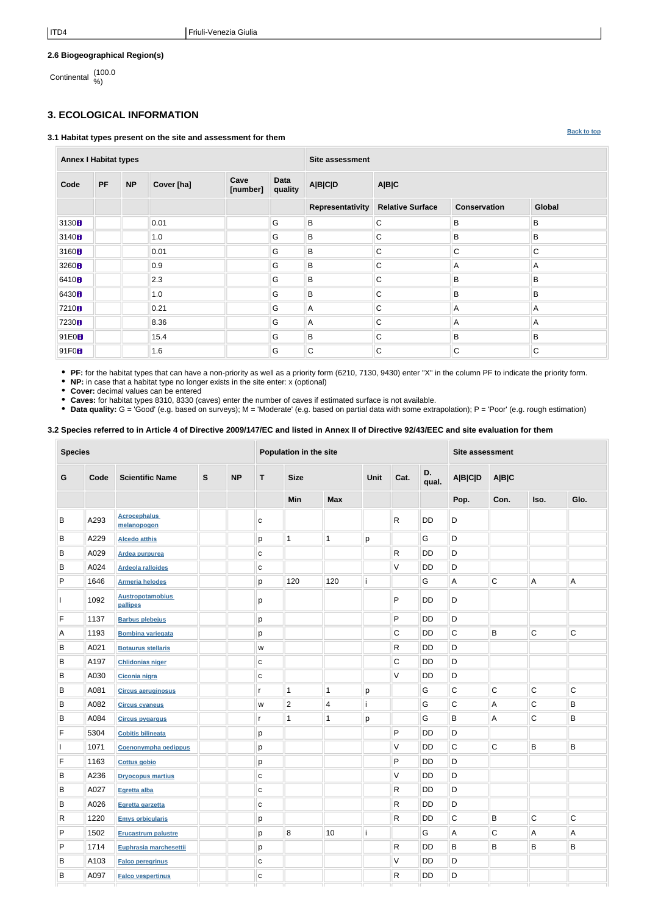**[Back to top](#page-0-0)**

# **2.6 Biogeographical Region(s)**

Continental (100.0 %)

# <span id="page-1-0"></span>**3. ECOLOGICAL INFORMATION**

#### **3.1 Habitat types present on the site and assessment for them**

**Annex I Habitat types Site assessment Code PF NP Cover [ha] Cave [number] Data quality A|B|C|D A|B|C Representativity Relative Surface Conservation Global** 3130 **B** B B B B B B B B 3140 **B** B B B B B B B 3160 0.01 G B C C C 3260 0.9 G B C A A A 6410 2.3 G B C B B 6430 **B** B B B B B B B B B B 7210 0.21 || G || A || C || A || A || A || A 7230 8 8.36 G A C A A A A 91E0 15.4 G B C B B 91F0 1.6 G C C C C

**PF:** for the habitat types that can have a non-priority as well as a priority form (6210, 7130, 9430) enter "X" in the column PF to indicate the priority form.

**NP:** in case that a habitat type no longer exists in the site enter: x (optional)

**Cover:** decimal values can be entered

**Caves:** for habitat types 8310, 8330 (caves) enter the number of caves if estimated surface is not available.

**Data quality:** G = 'Good' (e.g. based on surveys); M = 'Moderate' (e.g. based on partial data with some extrapolation); P = 'Poor' (e.g. rough estimation)

### **3.2 Species referred to in Article 4 of Directive 2009/147/EC and listed in Annex II of Directive 92/43/EEC and site evaluation for them**

| <b>Species</b> |      |                                     |              | Population in the site |              |                         |                         |      |              | <b>Site assessment</b> |                |                |             |              |
|----------------|------|-------------------------------------|--------------|------------------------|--------------|-------------------------|-------------------------|------|--------------|------------------------|----------------|----------------|-------------|--------------|
| G              | Code | <b>Scientific Name</b>              | $\mathbf{s}$ | <b>NP</b>              | T            | <b>Size</b>             |                         | Unit | Cat.         | D.<br>qual.            | <b>A B C D</b> | <b>A B C</b>   |             |              |
|                |      |                                     |              |                        |              | Min                     | <b>Max</b>              |      |              |                        | Pop.           | Con.           | Iso.        | Glo.         |
| В              | A293 | <b>Acrocephalus</b><br>melanopogon  |              |                        | с            |                         |                         |      | R.           | <b>DD</b>              | D              |                |             |              |
| B              | A229 | <b>Alcedo atthis</b>                |              |                        | p            | $\mathbf 1$             | 1                       | p    |              | G                      | D              |                |             |              |
| B              | A029 | Ardea purpurea                      |              |                        | C            |                         |                         |      | R            | <b>DD</b>              | D              |                |             |              |
| B              | A024 | <b>Ardeola ralloides</b>            |              |                        | С            |                         |                         |      | V            | <b>DD</b>              | D              |                |             |              |
| P              | 1646 | <b>Armeria helodes</b>              |              |                        | p            | 120                     | 120                     |      |              | G                      | A              | $\overline{C}$ | A           | A            |
|                | 1092 | <b>Austropotamobius</b><br>pallipes |              |                        | p            |                         |                         |      | P            | <b>DD</b>              | D              |                |             |              |
| F              | 1137 | <b>Barbus plebejus</b>              |              |                        | р            |                         |                         |      | P            | DD                     | D              |                |             |              |
| Α              | 1193 | <b>Bombina variegata</b>            |              |                        | p            |                         |                         |      | С            | <b>DD</b>              | $\mathsf C$    | B              | ${\bf C}$   | $\mathsf C$  |
| В              | A021 | <b>Botaurus stellaris</b>           |              |                        | W            |                         |                         |      | R            | DD                     | D              |                |             |              |
| B              | A197 | <b>Chlidonias niger</b>             |              |                        | ${\bf c}$    |                         |                         |      | $\mathsf C$  | <b>DD</b>              | D              |                |             |              |
| В              | A030 | Ciconia nigra                       |              |                        | $\mathbf C$  |                         |                         |      | V            | <b>DD</b>              | D              |                |             |              |
| B              | A081 | <b>Circus aeruginosus</b>           |              |                        |              | $\overline{\mathbf{1}}$ | 1                       | р    |              | G                      | C              | $\mathsf C$    | $\mathsf C$ | $\mathsf C$  |
| B              | A082 | <b>Circus cyaneus</b>               |              |                        | W            | $\boldsymbol{2}$        | $\overline{\mathbf{4}}$ | П    |              | G                      | C              | A              | $\mathsf C$ | B            |
| B              | A084 | <b>Circus pygargus</b>              |              |                        |              | 1                       | 1                       | p    |              | G                      | B              | Α              | $\mathsf C$ | $\sf B$      |
| F              | 5304 | <b>Cobitis bilineata</b>            |              |                        | р            |                         |                         |      | P            | <b>DD</b>              | D              |                |             |              |
|                | 1071 | Coenonympha oedippus                |              |                        | р            |                         |                         |      | V            | <b>DD</b>              | $\mathsf C$    | $\overline{C}$ | $\sf B$     | $\sf B$      |
| F              | 1163 | <b>Cottus gobio</b>                 |              |                        | p            |                         |                         |      | P            | DD                     | D              |                |             |              |
| В              | A236 | <b>Dryocopus martius</b>            |              |                        | $\mathbf C$  |                         |                         |      | V            | <b>DD</b>              | D              |                |             |              |
| B              | A027 | Egretta alba                        |              |                        | $\mathtt{C}$ |                         |                         |      | $\mathsf{R}$ | DD                     | D              |                |             |              |
| В              | A026 | Egretta garzetta                    |              |                        | $\mathtt{C}$ |                         |                         |      | $\mathsf{R}$ | DD                     | D              |                |             |              |
| R              | 1220 | <b>Emys orbicularis</b>             |              |                        | p            |                         |                         |      | $\mathsf{R}$ | DD                     | $\overline{C}$ | B              | $\mathbf C$ | $\mathsf{C}$ |
| P              | 1502 | <b>Erucastrum palustre</b>          |              |                        | p            | $\bf 8$                 | 10 <sup>1</sup>         |      |              | G                      | Α              | $\mathbf C$    | A           | $\mathsf{A}$ |
| P              | 1714 | Euphrasia marchesettii              |              |                        | p            |                         |                         |      | $\mathsf{R}$ | DD                     | B              | B              | B           | B            |
| В              | A103 | <b>Falco peregrinus</b>             |              |                        | $\mathbf{C}$ |                         |                         |      | V            | DD                     | D              |                |             |              |
| В              | A097 | <b>Falco vespertinus</b>            |              |                        | $\mathtt{C}$ |                         |                         |      | $\mathsf{R}$ | DD                     | D              |                |             |              |
|                |      |                                     |              |                        |              |                         |                         |      |              |                        |                |                |             |              |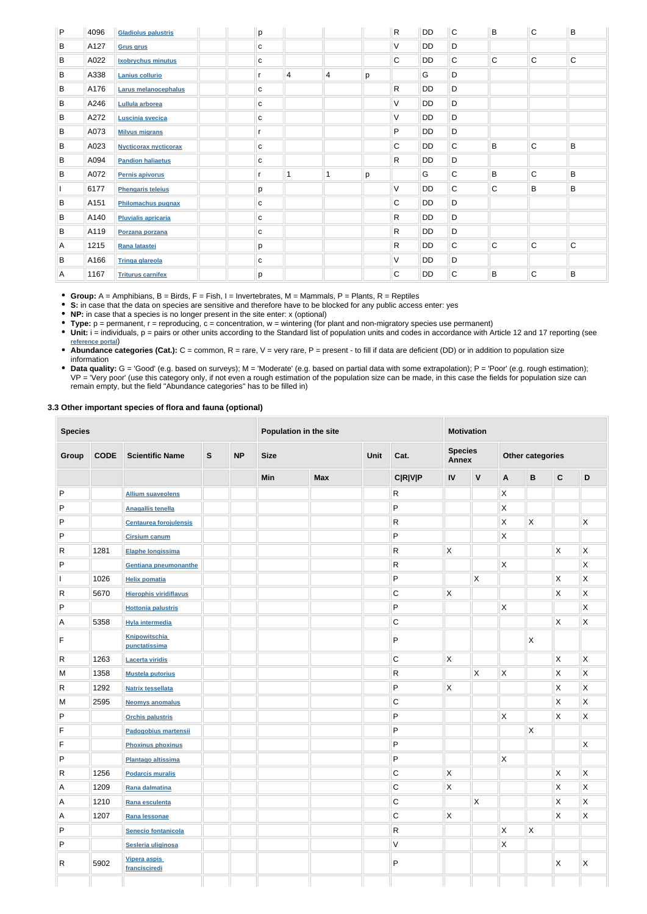| P | 4096 | <b>Gladiolus palustris</b>   | p            |                |                |   | $\mathsf{R}$ | <b>DD</b> | $\mathsf{C}$ | B              | $\mathsf{C}$ | B           |
|---|------|------------------------------|--------------|----------------|----------------|---|--------------|-----------|--------------|----------------|--------------|-------------|
| B | A127 | <b>Grus grus</b>             | $\mathbf C$  |                |                |   | V            | <b>DD</b> | D            |                |              |             |
| B | A022 | <b>Ixobrychus minutus</b>    | C            |                |                |   | $\mathbf C$  | DD        | C            | $\overline{C}$ | C            | $\mathbf C$ |
| B | A338 | Lanius collurio              | r            | $\overline{4}$ | $\overline{4}$ | p |              | G         | D            |                |              |             |
| B | A176 | <b>Larus melanocephalus</b>  | С            |                |                |   | $\mathsf{R}$ | DD        | D            |                |              |             |
| B | A246 | Lullula arborea              | C            |                |                |   | V            | DD        | D            |                |              |             |
| B | A272 | Luscinia svecica             | с            |                |                |   | V            | DD        | D            |                |              |             |
| B | A073 | <b>Milvus migrans</b>        | r            |                |                |   | P            | <b>DD</b> | D            |                |              |             |
| B | A023 | <b>Nycticorax nycticorax</b> | C            |                |                |   | C            | DD        | $\mathsf C$  | $\sf B$        | C            | B           |
| B | A094 | <b>Pandion haliaetus</b>     | C            |                |                |   | $\mathsf{R}$ | DD        | D            |                |              |             |
| B | A072 | Pernis apivorus              | r            | $\overline{1}$ | 1              | p |              | G         | C            | B              | C            | B           |
|   | 6177 | <b>Phengaris teleius</b>     | р            |                |                |   | $\vee$       | DD        | C            | $\mathsf{C}$   | B            | B           |
| B | A151 | Philomachus pugnax           | c            |                |                |   | $\mathsf{C}$ | DD        | D            |                |              |             |
| B | A140 | <b>Pluvialis apricaria</b>   | c            |                |                |   | $\mathsf{R}$ | DD        | D            |                |              |             |
| B | A119 | Porzana porzana              | $\mathbf{C}$ |                |                |   | $\mathsf{R}$ | DD        | D            |                |              |             |
| Α | 1215 | Rana latastei                | р            |                |                |   | $\mathsf{R}$ | DD        | $\mathsf C$  | $\overline{C}$ | $\mathsf{C}$ | $\mathbf C$ |
| B | A166 | <b>Tringa glareola</b>       | с            |                |                |   | V            | DD        | D            |                |              |             |
| Α | 1167 | <b>Triturus carnifex</b>     | p            |                |                |   | $\mathsf{C}$ | DD        | C            | B              | C            | B           |

• Unit: i = individuals, p = pairs or other units according to the Standard list of population units and codes in accordance with Article 12 and 17 reporting (see **[reference portal](http://bd.eionet.europa.eu/activities/Natura_2000/reference_portal)**)

**Group:** A = Amphibians, B = Birds, F = Fish, I = Invertebrates, M = Mammals, P = Plants, R = Reptiles

**S:** in case that the data on species are sensitive and therefore have to be blocked for any public access enter: yes

- Abundance categories (Cat.): C = common, R = rare, V = very rare, P = present to fill if data are deficient (DD) or in addition to population size information
- Data quality: G = 'Good' (e.g. based on surveys); M = 'Moderate' (e.g. based on partial data with some extrapolation); P = 'Poor' (e.g. rough estimation); VP = 'Very poor' (use this category only, if not even a rough estimation of the population size can be made, in this case the fields for population size can remain empty, but the field "Abundance categories" has to be filled in)

**NP:** in case that a species is no longer present in the site enter: x (optional)

**Type:** p = permanent, r = reproducing, c = concentration, w = wintering (for plant and non-migratory species use permanent)

#### **3.3 Other important species of flora and fauna (optional)**

| <b>Species</b> |             |                                       |              | Population in the site |             |            |      | <b>Motivation</b> |                                |                           |                         |              |                           |                           |
|----------------|-------------|---------------------------------------|--------------|------------------------|-------------|------------|------|-------------------|--------------------------------|---------------------------|-------------------------|--------------|---------------------------|---------------------------|
| Group          | <b>CODE</b> | <b>Scientific Name</b>                | $\mathbf{s}$ | <b>NP</b>              | <b>Size</b> |            | Unit | Cat.              | <b>Species</b><br><b>Annex</b> |                           | <b>Other categories</b> |              |                           |                           |
|                |             |                                       |              |                        | Min         | <b>Max</b> |      | <b>C R V P</b>    | IV                             | $\mathsf{V}$              | $\mathbf{A}$            | $\, {\bf B}$ | $\mathbf C$               | $\mathsf D$               |
| P              |             | <b>Allium suaveolens</b>              |              |                        |             |            |      | ${\sf R}$         |                                |                           | Χ                       |              |                           |                           |
| P              |             | <b>Anagallis tenella</b>              |              |                        |             |            |      | P                 |                                |                           | Χ                       |              |                           |                           |
| P              |             | <b>Centaurea forojulensis</b>         |              |                        |             |            |      | $\mathsf{R}$      |                                |                           | Χ                       | $\mathsf{X}$ |                           | $\pmb{\times}$            |
| P              |             | <b>Cirsium canum</b>                  |              |                        |             |            |      | P                 |                                |                           | Χ                       |              |                           |                           |
| $\mathsf{R}$   | 1281        | Elaphe longissima                     |              |                        |             |            |      | R                 | $\mathsf{X}$                   |                           |                         |              | $\mathsf{X}$              | $\boldsymbol{\mathsf{X}}$ |
| P              |             | Gentiana pneumonanthe                 |              |                        |             |            |      | ${\sf R}$         |                                |                           | Χ                       |              |                           | X                         |
|                | 1026        | <b>Helix pomatia</b>                  |              |                        |             |            |      | P                 |                                | $\boldsymbol{\mathsf{X}}$ |                         |              | $\mathsf{X}$              | Χ                         |
| R              | 5670        | <b>Hierophis viridiflavus</b>         |              |                        |             |            |      | C                 | X                              |                           |                         |              | Χ                         | Χ                         |
| P              |             | <b>Hottonia palustris</b>             |              |                        |             |            |      | ${\sf P}$         |                                |                           | Χ                       |              |                           | X                         |
| А              | 5358        | <b>Hyla intermedia</b>                |              |                        |             |            |      | $\mathsf C$       |                                |                           |                         |              | X                         | X                         |
| F              |             | <b>Knipowitschia</b><br>punctatissima |              |                        |             |            |      | $\mathsf{P}$      |                                |                           |                         | $\mathsf{X}$ |                           |                           |
| R              | 1263        | <b>Lacerta viridis</b>                |              |                        |             |            |      | $\mathsf C$       | $\mathsf X$                    |                           |                         |              | $\boldsymbol{\mathsf{X}}$ | $\mathsf X$               |
| M              | 1358        | <b>Mustela putorius</b>               |              |                        |             |            |      | ${\sf R}$         |                                | $\mathsf X$               | X                       |              | X                         | $\mathsf X$               |
| R              | 1292        | <b>Natrix tessellata</b>              |              |                        |             |            |      | ${\sf P}$         | $\mathsf{X}$                   |                           |                         |              | X                         | $\pmb{\times}$            |
| M              | 2595        | <b>Neomys anomalus</b>                |              |                        |             |            |      | $\mathsf C$       |                                |                           |                         |              | X                         | $\mathsf X$               |
| P              |             | <b>Orchis palustris</b>               |              |                        |             |            |      | P                 |                                |                           | Χ                       |              | X                         | X                         |
| F              |             | Padogobius martensii                  |              |                        |             |            |      | ${\sf P}$         |                                |                           |                         | $\mathsf{X}$ |                           |                           |
| F              |             | <b>Phoxinus phoxinus</b>              |              |                        |             |            |      | P                 |                                |                           |                         |              |                           | X                         |
| P              |             | <b>Plantago altissima</b>             |              |                        |             |            |      | P                 |                                |                           | X                       |              |                           |                           |
| R              | 1256        | <b>Podarcis muralis</b>               |              |                        |             |            |      | $\mathsf C$       | $\mathsf X$                    |                           |                         |              | $\mathsf X$               | $\mathsf{X}$              |
| А              | 1209        | Rana dalmatina                        |              |                        |             |            |      | $\mathsf C$       | $\mathsf X$                    |                           |                         |              | $\mathsf X$               | $\mathsf X$               |
| Α              | 1210        | Rana esculenta                        |              |                        |             |            |      | $\mathsf C$       |                                | $\mathsf{X}$              |                         |              | $\mathsf X$               | $\mathsf X$               |
| Α              | 1207        | Rana lessonae                         |              |                        |             |            |      | $\mathsf C$       | $\mathsf X$                    |                           |                         |              | $\boldsymbol{\mathsf{X}}$ | $\mathsf X$               |
| P              |             | Senecio fontanicola                   |              |                        |             |            |      | $\mathsf{R}$      |                                |                           | X                       | $\mathsf{X}$ |                           |                           |
| P              |             | Sesleria uliginosa                    |              |                        |             |            |      | $\mathsf V$       |                                |                           | X                       |              |                           |                           |
| R              | 5902        | Vipera aspis<br>francisciredi         |              |                        |             |            |      | ${\sf P}$         |                                |                           |                         |              | X                         | X.                        |
|                |             |                                       |              |                        |             |            |      |                   |                                |                           |                         |              |                           |                           |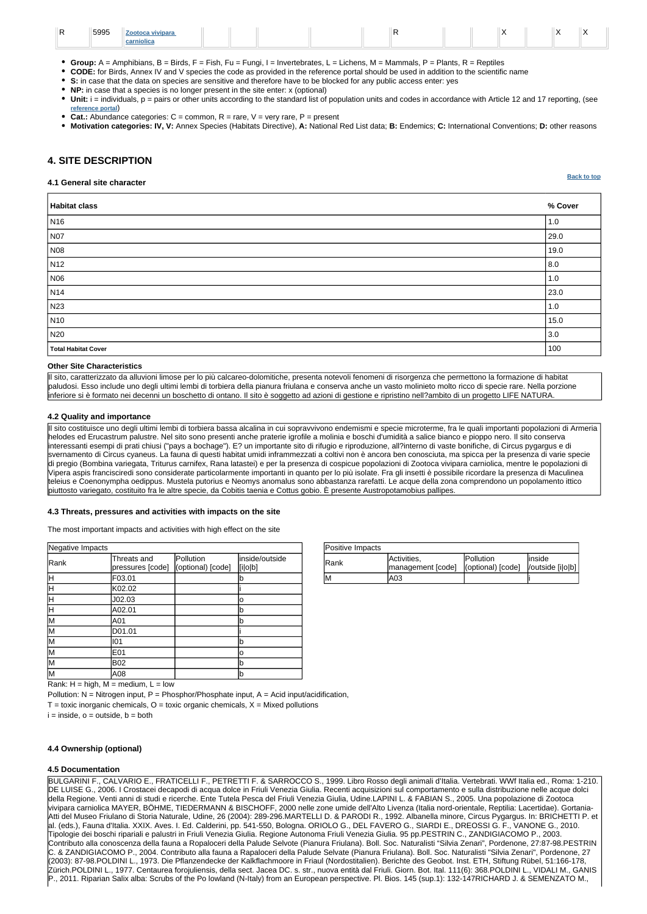| Positive Impacts |                                  |                                       |                             |
|------------------|----------------------------------|---------------------------------------|-----------------------------|
| IRank            | Activities,<br>management [code] | <b>Pollution</b><br>(optional) [code] | linside<br>/outside [i o b] |
| IM.              | A03                              |                                       |                             |

Pollution:  $N =$  Nitrogen input,  $P =$  Phosphor/Phosphate input,  $A =$  Acid input/acidification,  $T =$  toxic inorganic chemicals,  $O =$  toxic organic chemicals,  $X =$  Mixed pollutions  $i = inside, o = outside, b = both$ 

| Negative Impacts |                                 |                                |                           |
|------------------|---------------------------------|--------------------------------|---------------------------|
| Rank             | Threats and<br>pressures [code] | Pollution<br>(optional) [code] | inside/outside<br>[i o b] |
| Η                | F03.01                          |                                | b                         |
| Η                | K02.02                          |                                |                           |
| Ή                | J02.03                          |                                | o                         |
| Ή                | A02.01                          |                                | b                         |
| M                | A01                             |                                | b                         |
| M                | D01.01                          |                                |                           |
| lм               | 101                             |                                | lb                        |
| lм               | E01                             |                                | o                         |
| lм               | <b>B02</b>                      |                                | lb                        |
| M                | A08                             |                                | b                         |

**[Back to top](#page-0-0)**

| 5995 | Zootoca vivipara |  |  |  |  |  |  |
|------|------------------|--|--|--|--|--|--|
|      | carniolic        |  |  |  |  |  |  |

- **Group:** A = Amphibians, B = Birds, F = Fish, Fu = Fungi, I = Invertebrates, L = Lichens, M = Mammals, P = Plants, R = Reptiles
- **CODE:** for Birds, Annex IV and V species the code as provided in the reference portal should be used in addition to the scientific name
- **S:** in case that the data on species are sensitive and therefore have to be blocked for any public access enter: yes
- **NP:** in case that a species is no longer present in the site enter: x (optional)
- Unit: i = individuals, p = pairs or other units according to the standard list of population units and codes in accordance with Article 12 and 17 reporting, (see **[reference portal](http://bd.eionet.europa.eu/activities/Natura_2000/reference_portal)**)
- **Cat.:** Abundance categories:  $C =$  common,  $R =$  rare,  $V =$  very rare,  $P =$  present
- **Motivation categories: IV, V:** Annex Species (Habitats Directive), **A:** National Red List data; **B:** Endemics; **C:** International Conventions; **D:** other reasons

# <span id="page-3-0"></span>**4. SITE DESCRIPTION**

#### **4.1 General site character**

| Habitat class              | % Cover |
|----------------------------|---------|
| N <sub>16</sub>            | 1.0     |
| <b>N07</b>                 | 29.0    |
| N08                        | 19.0    |
| N <sub>12</sub>            | 8.0     |
| N06                        | 1.0     |
| N <sub>14</sub>            | 23.0    |
| N23                        | 1.0     |
| N10                        | 15.0    |
| N20                        | 3.0     |
| <b>Total Habitat Cover</b> | 100     |

#### **Other Site Characteristics**

Il sito, caratterizzato da alluvioni limose per lo più calcareo-dolomitiche, presenta notevoli fenomeni di risorgenza che permettono la formazione di habitat paludosi. Esso include uno degli ultimi lembi di torbiera della pianura friulana e conserva anche un vasto molinieto molto ricco di specie rare. Nella porzione inferiore si è formato nei decenni un boschetto di ontano. Il sito è soggetto ad azioni di gestione e ripristino nell?ambito di un progetto LIFE NATURA.

#### **4.2 Quality and importance**

Il sito costituisce uno degli ultimi lembi di torbiera bassa alcalina in cui sopravvivono endemismi e specie microterme, fra le quali importanti popolazioni di Armeria helodes ed Erucastrum palustre. Nel sito sono presenti anche praterie igrofile a molinia e boschi d'umidità a salice bianco e pioppo nero. Il sito conserva interessanti esempi di prati chiusi ("pays a bochage"). E? un importante sito di rifugio e riproduzione, all?interno di vaste bonifiche, di Circus pygargus e di svernamento di Circus cyaneus. La fauna di questi habitat umidi inframmezzati a coltivi non è ancora ben conosciuta, ma spicca per la presenza di varie specie di pregio (Bombina variegata, Triturus carnifex, Rana latastei) e per la presenza di cospicue popolazioni di Zootoca vivipara carniolica, mentre le popolazioni di Vipera aspis francisciredi sono considerate particolarmente importanti in quanto per lo più isolate. Fra gli insetti è possibile ricordare la presenza di Maculinea teleius e Coenonympha oedippus. Mustela putorius e Neomys anomalus sono abbastanza rarefatti. Le acque della zona comprendono un popolamento ittico piuttosto variegato, costituito fra le altre specie, da Cobitis taenia e Cottus gobio. È presente Austropotamobius pallipes.

#### **4.3 Threats, pressures and activities with impacts on the site**

The most important impacts and activities with high effect on the site

#### **4.4 Ownership (optional)**

Rank:  $H = high$ ,  $M = medium$ ,  $L = low$ 

#### **4.5 Documentation**

BULGARINI F., CALVARIO E., FRATICELLI F., PETRETTI F. & SARROCCO S., 1999. Libro Rosso degli animali d'Italia. Vertebrati. WWf Italia ed., Roma: 1-210. DE LUISE G., 2006. I Crostacei decapodi di acqua dolce in Friuli Venezia Giulia. Recenti acquisizioni sul comportamento e sulla distribuzione nelle acque dolci della Regione. Venti anni di studi e ricerche. Ente Tutela Pesca del Friuli Venezia Giulia, Udine.LAPINI L. & FABIAN S., 2005. Una popolazione di Zootoca vivipara carniolica MAYER, BÖHME, TIEDERMANN & BISCHOFF, 2000 nelle zone umide dell'Alto Livenza (Italia nord-orientale, Reptilia: Lacertidae). Gortania-Atti del Museo Friulano di Storia Naturale, Udine, 26 (2004): 289-296.MARTELLI D. & PARODI R., 1992. Albanella minore, Circus Pygargus. In: BRICHETTI P. et al. (eds.), Fauna d'Italia. XXIX. Aves. I. Ed. Calderini, pp. 541-550, Bologna. ORIOLO G., DEL FAVERO G., SIARDI E., DREOSSI G. F., VANONE G., 2010. Tipologie dei boschi ripariali e palustri in Friuli Venezia Giulia. Regione Autonoma Friuli Venezia Giulia. 95 pp.PESTRIN C., ZANDIGIACOMO P., 2003. Contributo alla conoscenza della fauna a Ropaloceri della Palude Selvote (Pianura Friulana). Boll. Soc. Naturalisti "Silvia Zenari", Pordenone, 27:87-98.PESTRIN C. & ZANDIGIACOMO P., 2004. Contributo alla fauna a Rapaloceri della Palude Selvate (Pianura Friulana). Boll. Soc. Naturalisti "Silvia Zenari", Pordenone, 27 (2003): 87-98.POLDINI L., 1973. Die Pflanzendecke der Kalkflachmoore in Friaul (Nordostitalien). Berichte des Geobot. Inst. ETH, Stiftung Rübel, 51:166-178, Zürich.POLDINI L., 1977. Centaurea forojuliensis, della sect. Jacea DC. s. str., nuova entità dal Friuli. Giorn. Bot. Ital. 111(6): 368.POLDINI L., VIDALI M., GANIS P., 2011. Riparian Salix alba: Scrubs of the Po lowland (N-Italy) from an European perspective. Pl. Bios. 145 (sup.1): 132-147RICHARD J. & SEMENZATO M.,